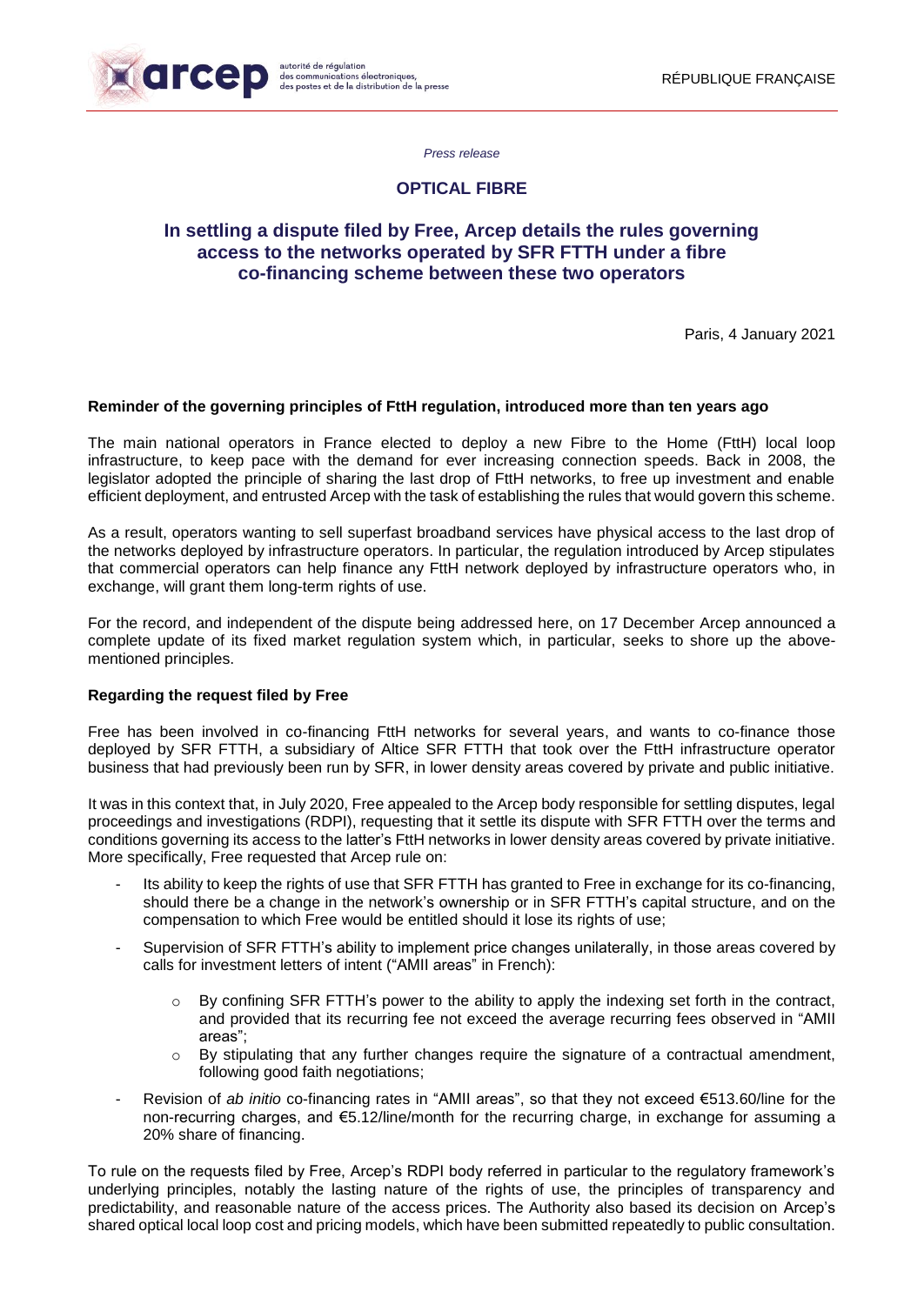

*Press release*

# **OPTICAL FIBRE**

# **In settling a dispute filed by Free, Arcep details the rules governing access to the networks operated by SFR FTTH under a fibre co-financing scheme between these two operators**

Paris, 4 January 2021

### **Reminder of the governing principles of FttH regulation, introduced more than ten years ago**

The main national operators in France elected to deploy a new Fibre to the Home (FttH) local loop infrastructure, to keep pace with the demand for ever increasing connection speeds. Back in 2008, the legislator adopted the principle of sharing the last drop of FttH networks, to free up investment and enable efficient deployment, and entrusted Arcep with the task of establishing the rules that would govern this scheme.

As a result, operators wanting to sell superfast broadband services have physical access to the last drop of the networks deployed by infrastructure operators. In particular, the regulation introduced by Arcep stipulates that commercial operators can help finance any FttH network deployed by infrastructure operators who, in exchange, will grant them long-term rights of use.

For the record, and independent of the dispute being addressed here, on 17 December Arcep announced a complete update of its fixed market regulation system which, in particular, seeks to shore up the abovementioned principles.

#### **Regarding the request filed by Free**

Free has been involved in co-financing FttH networks for several years, and wants to co-finance those deployed by SFR FTTH, a subsidiary of Altice SFR FTTH that took over the FttH infrastructure operator business that had previously been run by SFR, in lower density areas covered by private and public initiative.

It was in this context that, in July 2020, Free appealed to the Arcep body responsible for settling disputes, legal proceedings and investigations (RDPI), requesting that it settle its dispute with SFR FTTH over the terms and conditions governing its access to the latter's FttH networks in lower density areas covered by private initiative. More specifically, Free requested that Arcep rule on:

- Its ability to keep the rights of use that SFR FTTH has granted to Free in exchange for its co-financing, should there be a change in the network's ownership or in SFR FTTH's capital structure, and on the compensation to which Free would be entitled should it lose its rights of use;
- Supervision of SFR FTTH's ability to implement price changes unilaterally, in those areas covered by calls for investment letters of intent ("AMII areas" in French):
	- $\circ$  By confining SFR FTTH's power to the ability to apply the indexing set forth in the contract, and provided that its recurring fee not exceed the average recurring fees observed in "AMII areas";
	- $\circ$  By stipulating that any further changes require the signature of a contractual amendment, following good faith negotiations;
- Revision of *ab initio* co-financing rates in "AMII areas", so that they not exceed €513.60/line for the non-recurring charges, and €5.12/line/month for the recurring charge, in exchange for assuming a 20% share of financing.

To rule on the requests filed by Free, Arcep's RDPI body referred in particular to the regulatory framework's underlying principles, notably the lasting nature of the rights of use, the principles of transparency and predictability, and reasonable nature of the access prices. The Authority also based its decision on Arcep's shared optical local loop cost and pricing models, which have been submitted repeatedly to public consultation.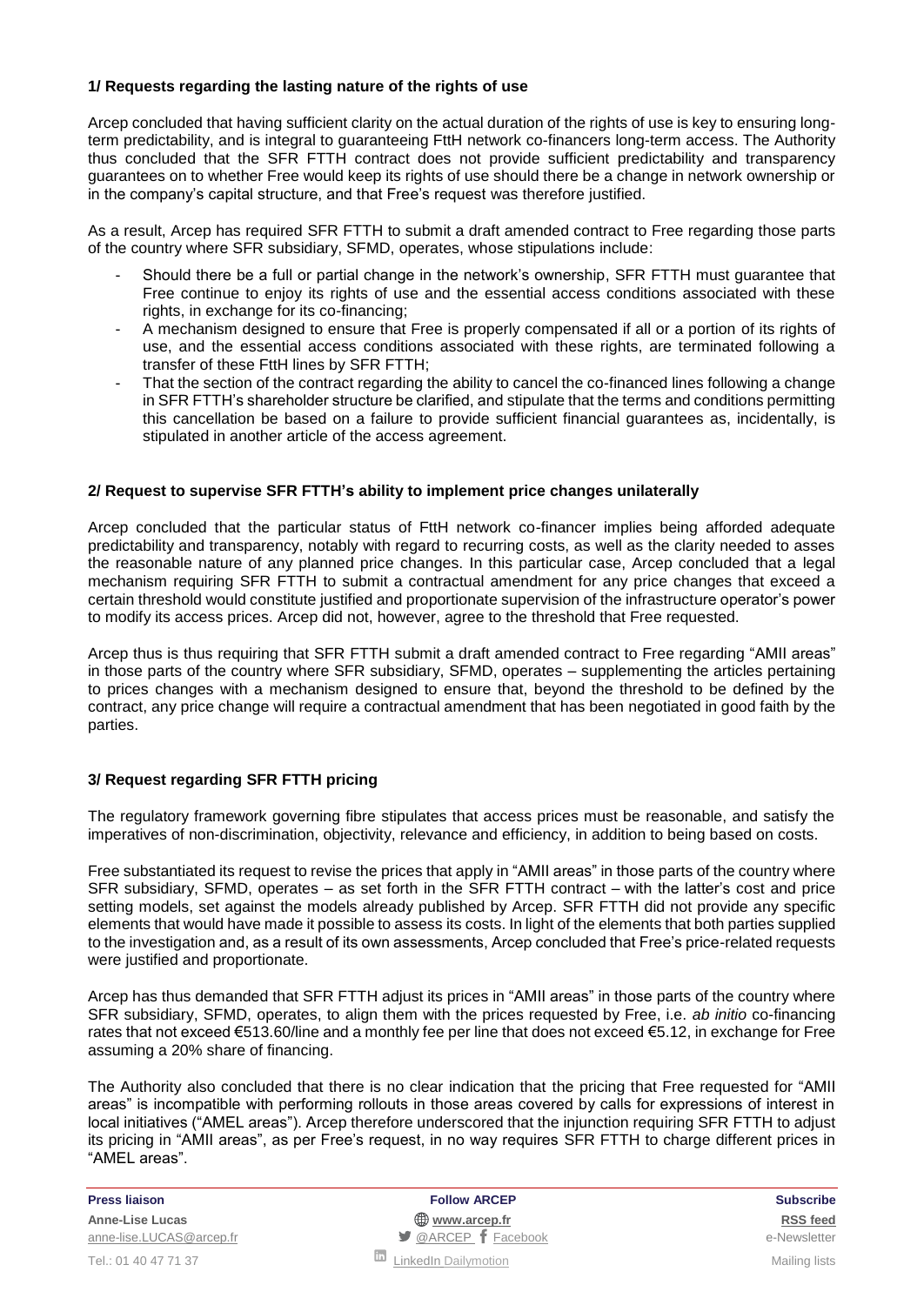## **1/ Requests regarding the lasting nature of the rights of use**

Arcep concluded that having sufficient clarity on the actual duration of the rights of use is key to ensuring longterm predictability, and is integral to guaranteeing FttH network co-financers long-term access. The Authority thus concluded that the SFR FTTH contract does not provide sufficient predictability and transparency guarantees on to whether Free would keep its rights of use should there be a change in network ownership or in the company's capital structure, and that Free's request was therefore justified.

As a result, Arcep has required SFR FTTH to submit a draft amended contract to Free regarding those parts of the country where SFR subsidiary, SFMD, operates, whose stipulations include:

- Should there be a full or partial change in the network's ownership, SFR FTTH must guarantee that Free continue to enjoy its rights of use and the essential access conditions associated with these rights, in exchange for its co-financing;
- A mechanism designed to ensure that Free is properly compensated if all or a portion of its rights of use, and the essential access conditions associated with these rights, are terminated following a transfer of these FttH lines by SFR FTTH;
- That the section of the contract regarding the ability to cancel the co-financed lines following a change in SFR FTTH's shareholder structure be clarified, and stipulate that the terms and conditions permitting this cancellation be based on a failure to provide sufficient financial guarantees as, incidentally, is stipulated in another article of the access agreement.

### **2/ Request to supervise SFR FTTH's ability to implement price changes unilaterally**

Arcep concluded that the particular status of FttH network co-financer implies being afforded adequate predictability and transparency, notably with regard to recurring costs, as well as the clarity needed to asses the reasonable nature of any planned price changes. In this particular case, Arcep concluded that a legal mechanism requiring SFR FTTH to submit a contractual amendment for any price changes that exceed a certain threshold would constitute justified and proportionate supervision of the infrastructure operator's power to modify its access prices. Arcep did not, however, agree to the threshold that Free requested.

Arcep thus is thus requiring that SFR FTTH submit a draft amended contract to Free regarding "AMII areas" in those parts of the country where SFR subsidiary, SFMD, operates – supplementing the articles pertaining to prices changes with a mechanism designed to ensure that, beyond the threshold to be defined by the contract, any price change will require a contractual amendment that has been negotiated in good faith by the parties.

## **3/ Request regarding SFR FTTH pricing**

The regulatory framework governing fibre stipulates that access prices must be reasonable, and satisfy the imperatives of non-discrimination, objectivity, relevance and efficiency, in addition to being based on costs.

Free substantiated its request to revise the prices that apply in "AMII areas" in those parts of the country where SFR subsidiary, SFMD, operates – as set forth in the SFR FTTH contract – with the latter's cost and price setting models, set against the models already published by Arcep. SFR FTTH did not provide any specific elements that would have made it possible to assess its costs. In light of the elements that both parties supplied to the investigation and, as a result of its own assessments, Arcep concluded that Free's price-related requests were justified and proportionate.

Arcep has thus demanded that SFR FTTH adjust its prices in "AMII areas" in those parts of the country where SFR subsidiary, SFMD, operates, to align them with the prices requested by Free, i.e. *ab initio* co-financing rates that not exceed €513.60/line and a monthly fee per line that does not exceed €5.12, in exchange for Free assuming a 20% share of financing.

The Authority also concluded that there is no clear indication that the pricing that Free requested for "AMII areas" is incompatible with performing rollouts in those areas covered by calls for expressions of interest in local initiatives ("AMEL areas"). Arcep therefore underscored that the injunction requiring SFR FTTH to adjust its pricing in "AMII areas", as per Free's request, in no way requires SFR FTTH to charge different prices in "AMEL areas".

**Press liaison Follow ARCEP Subscribe Anne-Lise Lucas [www.arcep.fr](http://www.arcep.fr/) [RSS](/feed/::www.arcep.fr:?eID=tx_rssforge&feedid=2&h=14df1) feed** [anne-lise.LUCAS@arcep.fr](mailto:anne-lise.LUCAS@arcep.fr) **but announce and announce**-Newsletter **of** [@ARCEP](http://www.twitter.com/ARCEP) **f** [Facebook](https://www.facebook.com/arcep.fr) e-Newsletter Tel.: 01 40 47 71 37 Mailing lists